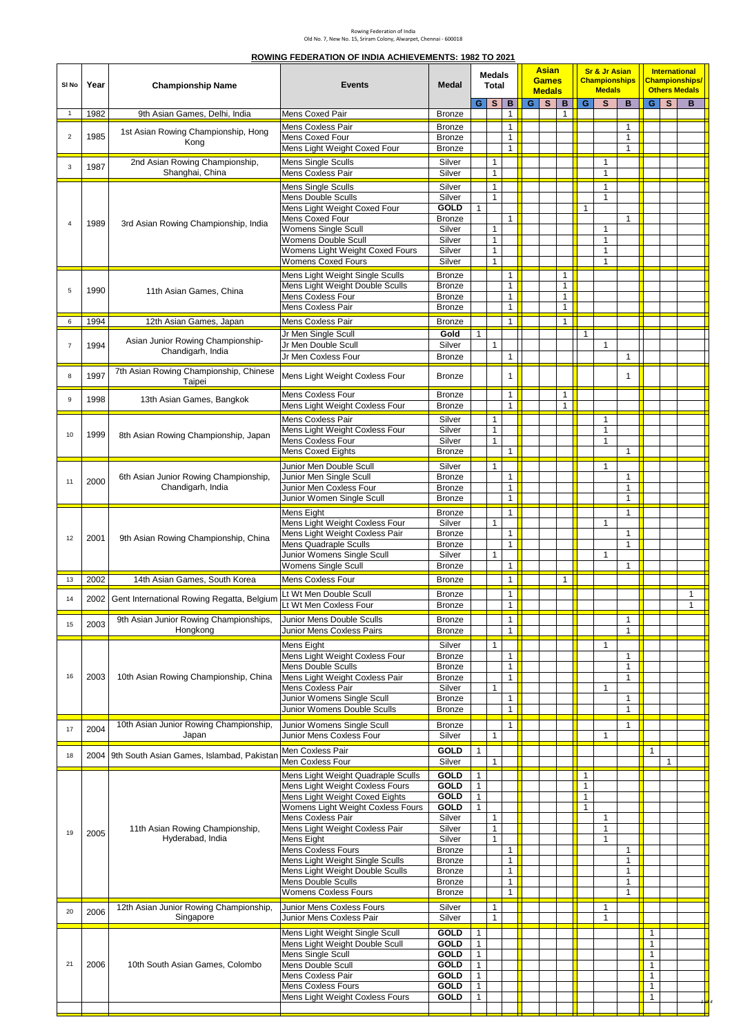#### **ROWING FEDERATION OF INDIA ACHIEVEMENTS: 1982 TO 2021**

| SI No                   | Year | <b>Championship Name</b>                       | <b>Events</b>                                                         | <b>Medal</b>                   |                              | <b>Medals</b><br><b>Total</b> |                   |     | <b>Asian</b><br><b>Games</b><br><b>Medals</b> |              |                              | <b>Sr &amp; Jr Asian</b><br><b>Championships</b><br><b>Medals</b> |                              | <b>International</b><br><b>Championships/</b><br><b>Others Medals</b><br>GS |              |              |
|-------------------------|------|------------------------------------------------|-----------------------------------------------------------------------|--------------------------------|------------------------------|-------------------------------|-------------------|-----|-----------------------------------------------|--------------|------------------------------|-------------------------------------------------------------------|------------------------------|-----------------------------------------------------------------------------|--------------|--------------|
| $\overline{1}$          | 1982 | 9th Asian Games, Delhi, India                  | Mens Coxed Pair                                                       | <b>Bronze</b>                  | G.                           | <sub>S</sub>                  | B<br>$\mathbf{1}$ | G I | S                                             | B<br>1       | G                            | $\mathbf{s}$                                                      | B.                           |                                                                             |              | в            |
|                         |      |                                                | Mens Coxless Pair                                                     | <b>Bronze</b>                  |                              |                               | 1                 |     |                                               |              |                              |                                                                   | $\mathbf{1}$                 |                                                                             |              |              |
| $\overline{\mathbf{c}}$ | 1985 | 1st Asian Rowing Championship, Hong<br>Kong    | Mens Coxed Four<br>Mens Light Weight Coxed Four                       | <b>Bronze</b><br><b>Bronze</b> |                              |                               | 1<br>$\mathbf{1}$ |     |                                               |              |                              |                                                                   | $\mathbf{1}$<br>$\mathbf{1}$ |                                                                             |              |              |
|                         |      | 2nd Asian Rowing Championship,                 | Mens Single Sculls                                                    | Silver                         |                              | $\mathbf{1}$                  |                   |     |                                               |              |                              | 1                                                                 |                              |                                                                             |              |              |
| 3                       | 1987 | Shanghai, China                                | Mens Coxless Pair                                                     | Silver                         |                              | $\mathbf{1}$                  |                   |     |                                               |              |                              | $\mathbf{1}$                                                      |                              |                                                                             |              |              |
|                         |      |                                                | <b>Mens Single Sculls</b>                                             | Silver                         |                              | $\mathbf{1}$                  |                   |     |                                               |              |                              | $\mathbf{1}$                                                      |                              |                                                                             |              |              |
|                         |      |                                                | Mens Double Sculls                                                    | Silver                         |                              | $\mathbf{1}$                  |                   |     |                                               |              |                              | $\mathbf{1}$                                                      |                              |                                                                             |              |              |
|                         |      |                                                | Mens Light Weight Coxed Four                                          | <b>GOLD</b>                    | $\mathbf{1}$                 |                               |                   |     |                                               |              | 1                            |                                                                   |                              |                                                                             |              |              |
| $\overline{4}$          | 1989 | 3rd Asian Rowing Championship, India           | Mens Coxed Four<br><b>Womens Single Scull</b>                         | <b>Bronze</b><br>Silver        |                              | 1                             | $\mathbf{1}$      |     |                                               |              |                              | $\mathbf{1}$                                                      | $\mathbf{1}$                 |                                                                             |              |              |
|                         |      |                                                | Womens Double Scull                                                   | Silver                         |                              | $\mathbf{1}$                  |                   |     |                                               |              |                              | $\mathbf{1}$                                                      |                              |                                                                             |              |              |
|                         |      |                                                | Womens Light Weight Coxed Fours<br><b>Womens Coxed Fours</b>          | Silver<br>Silver               |                              | $\mathbf{1}$<br>$\mathbf{1}$  |                   |     |                                               |              |                              | $\mathbf{1}$<br>$\mathbf{1}$                                      |                              |                                                                             |              |              |
|                         |      |                                                | Mens Light Weight Single Sculls                                       | <b>Bronze</b>                  |                              |                               | $\mathbf{1}$      |     |                                               | $\mathbf{1}$ |                              |                                                                   |                              |                                                                             |              |              |
|                         |      |                                                | Mens Light Weight Double Sculls                                       | <b>Bronze</b>                  |                              |                               | $\mathbf{1}$      |     |                                               | $\mathbf{1}$ |                              |                                                                   |                              |                                                                             |              |              |
| 5                       | 1990 | 11th Asian Games, China                        | Mens Coxless Four                                                     | <b>Bronze</b>                  |                              |                               | $\mathbf{1}$      |     |                                               | $\mathbf{1}$ |                              |                                                                   |                              |                                                                             |              |              |
|                         |      |                                                | Mens Coxless Pair                                                     | <b>Bronze</b>                  |                              |                               | $\mathbf{1}$      |     |                                               | $\mathbf{1}$ |                              |                                                                   |                              |                                                                             |              |              |
| 6                       | 1994 | 12th Asian Games, Japan                        | Mens Coxless Pair                                                     | <b>Bronze</b>                  |                              |                               | $\mathbf{1}$      |     |                                               | $\mathbf{1}$ |                              |                                                                   |                              |                                                                             |              |              |
| $\overline{7}$          |      | Asian Junior Rowing Championship-              | Jr Men Single Scull<br>Jr Men Double Scull                            | Gold<br>Silver                 | 1                            | $\mathbf{1}$                  |                   |     |                                               |              | $\mathbf{1}$                 | $\mathbf{1}$                                                      |                              |                                                                             |              |              |
|                         | 1994 | Chandigarh, India                              | Jr Men Coxless Four                                                   | <b>Bronze</b>                  |                              |                               | 1                 |     |                                               |              |                              |                                                                   | $\mathbf{1}$                 |                                                                             |              |              |
|                         |      | 7th Asian Rowing Championship, Chinese         |                                                                       |                                |                              |                               |                   |     |                                               |              |                              |                                                                   |                              |                                                                             |              |              |
| 8                       | 1997 | Taipei                                         | Mens Light Weight Coxless Four                                        | <b>Bronze</b>                  |                              |                               | 1                 |     |                                               |              |                              |                                                                   | $\mathbf{1}$                 |                                                                             |              |              |
| 9                       | 1998 | 13th Asian Games, Bangkok                      | Mens Coxless Four                                                     | <b>Bronze</b>                  |                              |                               | $\mathbf{1}$      |     |                                               | $\mathbf{1}$ |                              |                                                                   |                              |                                                                             |              |              |
|                         |      |                                                | Mens Light Weight Coxless Four                                        | <b>Bronze</b>                  |                              |                               | $\mathbf{1}$      |     |                                               | $\mathbf{1}$ |                              |                                                                   |                              |                                                                             |              |              |
| 10                      |      |                                                | Mens Coxless Pair<br>Mens Light Weight Coxless Four                   | Silver<br>Silver               |                              | $\mathbf{1}$<br>$\mathbf{1}$  |                   |     |                                               |              |                              | $\mathbf{1}$<br>$\mathbf{1}$                                      |                              |                                                                             |              |              |
|                         | 1999 | 8th Asian Rowing Championship, Japan           | Mens Coxless Four                                                     | Silver                         |                              | $\mathbf{1}$                  |                   |     |                                               |              |                              | $\mathbf{1}$                                                      |                              |                                                                             |              |              |
|                         |      |                                                | <b>Mens Coxed Eights</b>                                              | <b>Bronze</b>                  |                              |                               | $\mathbf{1}$      |     |                                               |              |                              |                                                                   | $\mathbf{1}$                 |                                                                             |              |              |
|                         |      |                                                | Junior Men Double Scull                                               | Silver                         |                              | $\mathbf{1}$                  |                   |     |                                               |              |                              | $\mathbf{1}$                                                      |                              |                                                                             |              |              |
| 11                      | 2000 | 6th Asian Junior Rowing Championship,          | Junior Men Single Scull                                               | <b>Bronze</b>                  |                              |                               | 1                 |     |                                               |              |                              |                                                                   | $\mathbf{1}$                 |                                                                             |              |              |
|                         |      | Chandigarh, India                              | Junior Men Coxless Four<br>Junior Women Single Scull                  | <b>Bronze</b><br><b>Bronze</b> |                              |                               | 1<br>$\mathbf{1}$ |     |                                               |              |                              |                                                                   | $\mathbf{1}$<br>$\mathbf{1}$ |                                                                             |              |              |
|                         |      |                                                | Mens Eight                                                            | Bronze                         |                              |                               | $\mathbf{1}$      |     |                                               |              |                              |                                                                   | $\mathbf{1}$                 |                                                                             |              |              |
|                         |      |                                                | Mens Light Weight Coxless Four                                        | Silver                         |                              | $\mathbf{1}$                  |                   |     |                                               |              |                              | $\mathbf{1}$                                                      |                              |                                                                             |              |              |
| 12                      | 2001 | 9th Asian Rowing Championship, China           | Mens Light Weight Coxless Pair                                        | <b>Bronze</b>                  |                              |                               | $\mathbf{1}$      |     |                                               |              |                              |                                                                   | $\mathbf{1}$                 |                                                                             |              |              |
|                         |      |                                                | <b>Mens Quadraple Sculls</b><br>Junior Womens Single Scull            | <b>Bronze</b><br>Silver        |                              | $\mathbf{1}$                  | $\mathbf{1}$      |     |                                               |              |                              | $\mathbf{1}$                                                      | $\mathbf{1}$                 |                                                                             |              |              |
|                         |      |                                                | <b>Womens Single Scull</b>                                            | <b>Bronze</b>                  |                              |                               | $\mathbf{1}$      |     |                                               |              |                              |                                                                   | $\mathbf{1}$                 |                                                                             |              |              |
| 13                      | 2002 | 14th Asian Games, South Korea                  | Mens Coxless Four                                                     | <b>Bronze</b>                  |                              |                               | $\mathbf{1}$      |     |                                               | 1            |                              |                                                                   |                              |                                                                             |              |              |
| 14                      | 2002 | Gent International Rowing Regatta, Belgium     | Lt Wt Men Double Scull                                                | <b>Bronze</b>                  |                              |                               | $\mathbf{1}$      |     |                                               |              |                              |                                                                   |                              |                                                                             |              | $\mathbf{1}$ |
|                         |      |                                                | Lt Wt Men Coxless Four                                                | <b>Bronze</b>                  |                              |                               | $\mathbf{1}$      |     |                                               |              |                              |                                                                   |                              |                                                                             |              | 1            |
| 15                      | 2003 | 9th Asian Junior Rowing Championships,         | Junior Mens Double Sculls                                             | Bronze                         |                              |                               | $\mathbf{1}$      |     |                                               |              |                              |                                                                   | $\mathbf{1}$                 |                                                                             |              |              |
|                         |      | Hongkong                                       | Junior Mens Coxless Pairs                                             | <b>Bronze</b>                  |                              |                               | $\mathbf{1}$      |     |                                               |              |                              |                                                                   | $\mathbf{1}$                 |                                                                             |              |              |
|                         |      |                                                | Mens Eight<br>Mens Light Weight Coxless Four                          | Silver<br><b>Bronze</b>        |                              | $\mathbf{1}$                  | $\mathbf{1}$      |     |                                               |              |                              | $\mathbf{1}$                                                      | $\mathbf{1}$                 |                                                                             |              |              |
|                         |      |                                                | Mens Double Sculls                                                    | <b>Bronze</b>                  |                              |                               | $\mathbf{1}$      |     |                                               |              |                              |                                                                   | $\mathbf{1}$                 |                                                                             |              |              |
| 16                      | 2003 | 10th Asian Rowing Championship, China          | Mens Light Weight Coxless Pair                                        | <b>Bronze</b>                  |                              |                               | $\mathbf{1}$      |     |                                               |              |                              |                                                                   | $\mathbf{1}$                 |                                                                             |              |              |
|                         |      |                                                | Mens Coxless Pair<br>Junior Womens Single Scull                       | Silver<br><b>Bronze</b>        |                              | $\mathbf{1}$                  | 1                 |     |                                               |              |                              | $\mathbf{1}$                                                      | $\mathbf{1}$                 |                                                                             |              |              |
|                         |      |                                                | Junior Womens Double Sculls                                           | <b>Bronze</b>                  |                              |                               | $\mathbf{1}$      |     |                                               |              |                              |                                                                   | $\mathbf{1}$                 |                                                                             |              |              |
|                         | 2004 | 10th Asian Junior Rowing Championship,         | Junior Womens Single Scull                                            | <b>Bronze</b>                  |                              |                               | $\mathbf{1}$      |     |                                               |              |                              |                                                                   | $\mathbf{1}$                 |                                                                             |              |              |
| 17                      |      | Japan                                          | Junior Mens Coxless Four                                              | Silver                         |                              | $\mathbf{1}$                  |                   |     |                                               |              |                              | 1                                                                 |                              |                                                                             |              |              |
| 18                      |      | 2004 9th South Asian Games, Islambad, Pakistan | Men Coxless Pair                                                      | GOLD                           | $\mathbf{1}$                 |                               |                   |     |                                               |              |                              |                                                                   |                              | $\mathbf{1}$                                                                |              |              |
|                         |      |                                                | Men Coxless Four                                                      | Silver                         |                              | $\mathbf{1}$                  |                   |     |                                               |              |                              |                                                                   |                              |                                                                             | $\mathbf{1}$ |              |
|                         |      |                                                | Mens Light Weight Quadraple Sculls<br>Mens Light Weight Coxless Fours | <b>GOLD</b><br><b>GOLD</b>     | 1<br>$\mathbf{1}$            |                               |                   |     |                                               |              | $\mathbf{1}$<br>$\mathbf{1}$ |                                                                   |                              |                                                                             |              |              |
|                         |      |                                                | Mens Light Weight Coxed Eights                                        | <b>GOLD</b>                    | 1                            |                               |                   |     |                                               |              | $\mathbf{1}$                 |                                                                   |                              |                                                                             |              |              |
|                         |      |                                                | Womens Light Weight Coxless Fours                                     | <b>GOLD</b>                    | 1                            |                               |                   |     |                                               |              | $\mathbf{1}$                 |                                                                   |                              |                                                                             |              |              |
|                         |      | 11th Asian Rowing Championship,                | Mens Coxless Pair<br>Mens Light Weight Coxless Pair                   | Silver<br>Silver               |                              | $\mathbf{1}$<br>$\mathbf{1}$  |                   |     |                                               |              |                              | $\mathbf{1}$<br>$\mathbf{1}$                                      |                              |                                                                             |              |              |
| 19                      | 2005 | Hyderabad, India                               | Mens Eight                                                            | Silver                         |                              | $\mathbf{1}$                  |                   |     |                                               |              |                              | $\mathbf{1}$                                                      |                              |                                                                             |              |              |
|                         |      |                                                | <b>Mens Coxless Fours</b>                                             | <b>Bronze</b>                  |                              |                               | $\mathbf{1}$      |     |                                               |              |                              |                                                                   | $\mathbf{1}$                 |                                                                             |              |              |
|                         |      |                                                | Mens Light Weight Single Sculls<br>Mens Light Weight Double Sculls    | <b>Bronze</b><br><b>Bronze</b> |                              |                               | 1<br>$\mathbf{1}$ |     |                                               |              |                              |                                                                   | $\mathbf{1}$<br>$\mathbf{1}$ |                                                                             |              |              |
|                         |      |                                                | Mens Double Sculls                                                    | <b>Bronze</b>                  |                              |                               | $\mathbf{1}$      |     |                                               |              |                              |                                                                   | $\mathbf{1}$                 |                                                                             |              |              |
|                         |      |                                                | Womens Coxless Fours                                                  | <b>Bronze</b>                  |                              |                               | $\mathbf{1}$      |     |                                               |              |                              |                                                                   | $\mathbf{1}$                 |                                                                             |              |              |
| 20                      | 2006 | 12th Asian Junior Rowing Championship,         | Junior Mens Coxless Fours                                             | Silver                         |                              | $\mathbf{1}$                  |                   |     |                                               |              |                              | 1                                                                 |                              |                                                                             |              |              |
|                         |      | Singapore                                      | Junior Mens Coxless Pair                                              | Silver                         |                              | 1                             |                   |     |                                               |              |                              | 1                                                                 |                              |                                                                             |              |              |
|                         |      |                                                | Mens Light Weight Single Scull<br>Mens Light Weight Double Scull      | <b>GOLD</b><br><b>GOLD</b>     | 1<br>1                       |                               |                   |     |                                               |              |                              |                                                                   |                              | 1<br>$\mathbf{1}$                                                           |              |              |
|                         |      |                                                | Mens Single Scull                                                     | <b>GOLD</b>                    | $\mathbf{1}$                 |                               |                   |     |                                               |              |                              |                                                                   |                              | $\mathbf{1}$                                                                |              |              |
| 21                      | 2006 | 10th South Asian Games, Colombo                | Mens Double Scull                                                     | <b>GOLD</b>                    | $\mathbf{1}$                 |                               |                   |     |                                               |              |                              |                                                                   |                              | $\mathbf{1}$                                                                |              |              |
|                         |      |                                                | Mens Coxless Pair<br><b>Mens Coxless Fours</b>                        | <b>GOLD</b><br><b>GOLD</b>     | $\mathbf{1}$<br>$\mathbf{1}$ |                               |                   |     |                                               |              |                              |                                                                   |                              | $\mathbf{1}$<br>$\mathbf{1}$                                                |              |              |
|                         |      |                                                | Mens Light Weight Coxless Fours                                       | GOLD                           | $\mathbf{1}$                 |                               |                   |     |                                               |              |                              |                                                                   |                              | 1                                                                           |              |              |
|                         |      |                                                |                                                                       |                                |                              |                               |                   |     |                                               |              |                              |                                                                   |                              |                                                                             |              |              |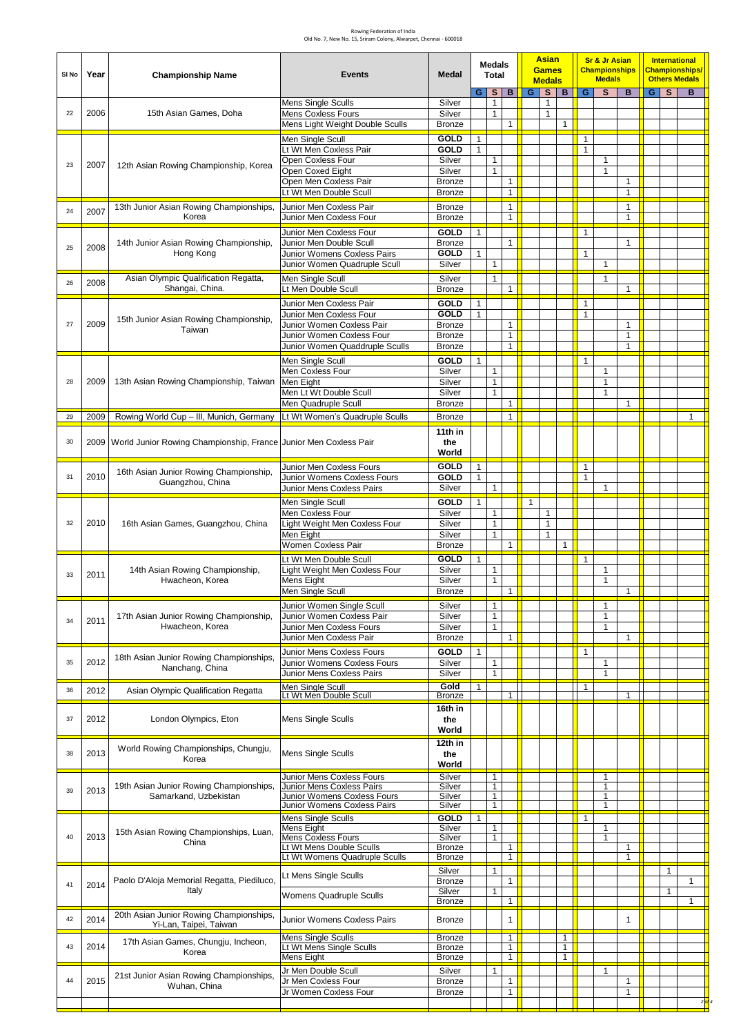| SI No | Year | <b>Championship Name</b>                                                | <b>Events</b>                                            | <b>Medal</b>                   |                              | <b>Medals</b><br><b>Total</b> |                                |              | <b>Asian</b><br><b>Games</b><br><b>Medals</b> |                              |                              | <b>Sr &amp; Jr Asian</b><br><b>Championships</b><br><b>Medals</b> |                   |              | <b>International</b><br><b>Championships/</b><br><b>Others Medals</b> |        |
|-------|------|-------------------------------------------------------------------------|----------------------------------------------------------|--------------------------------|------------------------------|-------------------------------|--------------------------------|--------------|-----------------------------------------------|------------------------------|------------------------------|-------------------------------------------------------------------|-------------------|--------------|-----------------------------------------------------------------------|--------|
|       |      |                                                                         | Mens Single Sculls                                       | Silver                         | G                            | s<br>$\mathbf{1}$             | в                              | G            | S<br>1                                        | В                            | G                            | S                                                                 | B                 | GS           | B                                                                     |        |
| 22    | 2006 | 15th Asian Games, Doha                                                  | <b>Mens Coxless Fours</b>                                | Silver                         |                              | 1                             |                                |              | $\mathbf{1}$                                  |                              |                              |                                                                   |                   |              |                                                                       |        |
|       |      |                                                                         | Mens Light Weight Double Sculls                          | <b>Bronze</b>                  |                              |                               | 1                              |              |                                               | $\mathbf{1}$                 |                              |                                                                   |                   |              |                                                                       |        |
|       |      |                                                                         | Men Single Scull                                         | GOLD                           | $\mathbf{1}$                 |                               |                                |              |                                               |                              | $\mathbf{1}$                 |                                                                   |                   |              |                                                                       |        |
|       |      |                                                                         | Lt Wt Men Coxless Pair<br>Open Coxless Four              | GOLD<br>Silver                 | $\mathbf{1}$                 | $\mathbf{1}$                  |                                |              |                                               |                              | $\mathbf{1}$                 | $\mathbf{1}$                                                      |                   |              |                                                                       |        |
| 23    | 2007 | 12th Asian Rowing Championship, Korea                                   | Open Coxed Eight                                         | Silver                         |                              | $\mathbf{1}$                  |                                |              |                                               |                              |                              | $\mathbf{1}$                                                      |                   |              |                                                                       |        |
|       |      |                                                                         | Open Men Coxless Pair                                    | <b>Bronze</b>                  |                              |                               | $\mathbf{1}$                   |              |                                               |                              |                              |                                                                   | $\mathbf{1}$      |              |                                                                       |        |
|       |      |                                                                         | Lt Wt Men Double Scull                                   | <b>Bronze</b>                  |                              |                               | $\mathbf{1}$                   |              |                                               |                              |                              |                                                                   | $\mathbf{1}$      |              |                                                                       |        |
| 24    | 2007 | 13th Junior Asian Rowing Championships,<br>Korea                        | <b>Bronze</b>                                            |                                |                              | $\mathbf{1}$<br>$\mathbf{1}$  |                                |              |                                               |                              |                              | $\mathbf{1}$<br>$\mathbf{1}$                                      |                   |              |                                                                       |        |
|       |      |                                                                         | Junior Men Coxless Four                                  | <b>Bronze</b>                  |                              |                               |                                |              |                                               |                              |                              |                                                                   |                   |              |                                                                       |        |
|       |      | 14th Junior Asian Rowing Championship,                                  | Junior Men Coxless Four<br>Junior Men Double Scull       | <b>GOLD</b><br><b>Bronze</b>   | 1                            |                               | $\mathbf{1}$                   |              |                                               |                              | $\mathbf{1}$                 |                                                                   | $\mathbf{1}$      |              |                                                                       |        |
| 25    | 2008 | Hong Kong                                                               | Junior Womens Coxless Pairs                              | <b>GOLD</b>                    | $\mathbf{1}$                 |                               |                                |              |                                               |                              | $\mathbf{1}$                 |                                                                   |                   |              |                                                                       |        |
|       |      |                                                                         | Junior Women Quadruple Scull                             | Silver                         |                              | 1                             |                                |              |                                               |                              |                              | $\mathbf{1}$                                                      |                   |              |                                                                       |        |
| 26    | 2008 | Asian Olympic Qualification Regatta,<br>Shangai, China.                 | Men Single Scull<br>Lt Men Double Scull                  | Silver                         |                              | $\mathbf{1}$                  | $\mathbf{1}$                   |              |                                               |                              |                              | $\mathbf{1}$                                                      | $\mathbf{1}$      |              |                                                                       |        |
|       |      |                                                                         |                                                          | <b>Bronze</b>                  |                              |                               |                                |              |                                               |                              |                              |                                                                   |                   |              |                                                                       |        |
|       |      |                                                                         | Junior Men Coxless Pair<br>Junior Men Coxless Four       | <b>GOLD</b><br><b>GOLD</b>     | $\mathbf{1}$<br>$\mathbf{1}$ |                               |                                |              |                                               |                              | $\mathbf{1}$<br>$\mathbf{1}$ |                                                                   |                   |              |                                                                       |        |
| 27    | 2009 | 15th Junior Asian Rowing Championship,<br>Taiwan                        | Junior Women Coxless Pair                                | <b>Bronze</b>                  |                              |                               | $\mathbf{1}$                   |              |                                               |                              |                              |                                                                   | $\mathbf{1}$      |              |                                                                       |        |
|       |      |                                                                         | Junior Women Coxless Four                                | <b>Bronze</b>                  |                              |                               | $\mathbf{1}$                   |              |                                               |                              |                              |                                                                   | 1                 |              |                                                                       |        |
|       |      |                                                                         | Junior Women Quaddruple Sculls                           | <b>Bronze</b>                  |                              |                               | $\mathbf{1}$                   |              |                                               |                              |                              |                                                                   | $\mathbf{1}$      |              |                                                                       |        |
|       |      |                                                                         | Men Single Scull<br>Men Coxless Four                     | <b>GOLD</b><br>Silver          | $\mathbf{1}$                 | 1                             |                                |              |                                               |                              | $\mathbf{1}$                 | $\mathbf{1}$                                                      |                   |              |                                                                       |        |
| 28    | 2009 | 13th Asian Rowing Championship, Taiwan                                  | Men Eight                                                | Silver                         |                              | $\mathbf{1}$                  |                                |              |                                               |                              |                              | 1                                                                 |                   |              |                                                                       |        |
|       |      |                                                                         | Men Lt Wt Double Scull                                   | Silver                         |                              |                               |                                |              |                                               |                              |                              | 1                                                                 |                   |              |                                                                       |        |
|       |      |                                                                         | Men Quadruple Scull                                      | <b>Bronze</b>                  |                              |                               | 1                              |              |                                               |                              |                              |                                                                   | $\mathbf{1}$      |              |                                                                       |        |
| 29    | 2009 | Rowing World Cup - III, Munich, Germany                                 | Lt Wt Women's Quadruple Sculls                           | <b>Bronze</b>                  |                              |                               | 1                              |              |                                               |                              |                              |                                                                   |                   |              | 1                                                                     |        |
| 30    |      | 2009   World Junior Rowing Championship, France Junior Men Coxless Pair |                                                          | 11th in<br>the                 |                              |                               |                                |              |                                               |                              |                              |                                                                   |                   |              |                                                                       |        |
|       |      |                                                                         |                                                          | World                          |                              |                               |                                |              |                                               |                              |                              |                                                                   |                   |              |                                                                       |        |
|       |      |                                                                         | Junior Men Coxless Fours                                 | <b>GOLD</b>                    | $\mathbf{1}$                 |                               |                                |              |                                               |                              | $\mathbf{1}$                 |                                                                   |                   |              |                                                                       |        |
| 31    | 2010 | 16th Asian Junior Rowing Championship,<br>Guangzhou, China              | Junior Womens Coxless Fours                              | GOLD                           | $\mathbf{1}$                 |                               |                                |              |                                               |                              | $\mathbf{1}$                 |                                                                   |                   |              |                                                                       |        |
|       |      |                                                                         | Junior Mens Coxless Pairs                                | Silver                         |                              | $\mathbf{1}$                  |                                |              |                                               |                              |                              | $\mathbf{1}$                                                      |                   |              |                                                                       |        |
|       |      |                                                                         | Men Single Scull<br>Men Coxless Four                     | GOLD<br>Silver                 | $\mathbf{1}$                 |                               |                                | $\mathbf{1}$ | 1                                             |                              |                              |                                                                   |                   |              |                                                                       |        |
| 32    | 2010 | 16th Asian Games, Guangzhou, China                                      | Light Weight Men Coxless Four                            | Silver                         |                              | 1<br>$\mathbf{1}$             |                                |              | $\mathbf{1}$                                  |                              |                              |                                                                   |                   |              |                                                                       |        |
|       |      |                                                                         | Men Eight                                                | Silver                         |                              | $\mathbf{1}$                  |                                |              | 1                                             |                              |                              |                                                                   |                   |              |                                                                       |        |
|       |      |                                                                         | Women Coxless Pair                                       | <b>Bronze</b>                  |                              |                               | 1                              |              |                                               | $\mathbf{1}$                 |                              |                                                                   |                   |              |                                                                       |        |
|       |      | 14th Asian Rowing Championship,<br>Hwacheon, Korea                      | Lt Wt Men Double Scull<br>Light Weight Men Coxless Four  | <b>GOLD</b><br>Silver          | $\mathbf{1}$                 | 1                             |                                |              |                                               |                              | $\mathbf{1}$                 | 1                                                                 |                   |              |                                                                       |        |
| 33    | 2011 |                                                                         | Mens Eight                                               | Silver                         |                              | $\mathbf{1}$                  |                                |              |                                               |                              |                              | $\mathbf{1}$                                                      |                   |              |                                                                       |        |
|       |      |                                                                         | Men Single Scull                                         | <b>Bronze</b>                  |                              |                               | $\mathbf{1}$                   |              |                                               |                              |                              |                                                                   | $\mathbf{1}$      |              |                                                                       |        |
|       |      | 17th Asian Junior Rowing Championship,<br>Hwacheon, Korea               | Junior Women Single Scull                                | Silver                         |                              | $\mathbf{1}$                  |                                |              |                                               |                              |                              | $\mathbf{1}$                                                      |                   |              |                                                                       |        |
| 34    | 2011 |                                                                         | Junior Women Coxless Pair                                | Silver                         |                              | $\mathbf{1}$<br>$\mathbf{1}$  |                                |              |                                               |                              |                              | 1                                                                 |                   |              |                                                                       |        |
|       |      |                                                                         | Junior Men Coxless Fours<br>Junior Men Coxless Pair      | Silver<br><b>Bronze</b>        |                              |                               | $\mathbf{1}$                   |              |                                               |                              |                              | 1                                                                 | $\mathbf{1}$      |              |                                                                       |        |
|       |      |                                                                         | Junior Mens Coxless Fours                                | GOLD                           | $\mathbf{1}$                 |                               |                                |              |                                               |                              | $\mathbf{1}$                 |                                                                   |                   |              |                                                                       |        |
| 35    | 2012 | 18th Asian Junior Rowing Championships,<br>Nanchang, China              | Junior Womens Coxless Fours                              | Silver                         |                              | $\mathbf{1}$                  |                                |              |                                               |                              |                              | $\mathbf{1}$                                                      |                   |              |                                                                       |        |
|       |      |                                                                         | Junior Mens Coxless Pairs                                | Silver                         |                              | 1                             |                                |              |                                               |                              |                              | $\mathbf{1}$                                                      |                   |              |                                                                       |        |
| 36    | 2012 | Asian Olympic Qualification Regatta                                     | Men Single Scull<br>Lt Wt Men Double Scull               | Gold<br><b>Bronze</b>          | $\mathbf{1}$                 |                               | 1 <sup>1</sup>                 |              |                                               |                              | $\mathbf{1}$                 |                                                                   | $\mathbf{1}$      |              |                                                                       |        |
|       |      |                                                                         |                                                          | 16th in                        |                              |                               |                                |              |                                               |                              |                              |                                                                   |                   |              |                                                                       |        |
| 37    | 2012 | London Olympics, Eton                                                   | Mens Single Sculls                                       | the                            |                              |                               |                                |              |                                               |                              |                              |                                                                   |                   |              |                                                                       |        |
|       |      |                                                                         |                                                          | World                          |                              |                               |                                |              |                                               |                              |                              |                                                                   |                   |              |                                                                       |        |
| 38    | 2013 | World Rowing Championships, Chungju,                                    | Mens Single Sculls                                       | 12th in<br>the                 |                              |                               |                                |              |                                               |                              |                              |                                                                   |                   |              |                                                                       |        |
|       |      | Korea                                                                   |                                                          | World                          |                              |                               |                                |              |                                               |                              |                              |                                                                   |                   |              |                                                                       |        |
|       |      |                                                                         | Junior Mens Coxless Fours                                | Silver                         |                              | $\mathbf{1}$                  |                                |              |                                               |                              |                              | $\mathbf{1}$                                                      |                   |              |                                                                       |        |
| 39    | 2013 | 19th Asian Junior Rowing Championships,<br>Samarkand, Uzbekistan        | Junior Mens Coxless Pairs<br>Junior Womens Coxless Fours | Silver<br>Silver               |                              | $\mathbf{1}$<br>$\mathbf{1}$  |                                |              |                                               |                              |                              | 1<br>1                                                            |                   |              |                                                                       |        |
|       |      |                                                                         | Junior Womens Coxless Pairs                              | Silver                         |                              | $\mathbf{1}$                  |                                |              |                                               |                              |                              | $\mathbf{1}$                                                      |                   |              |                                                                       |        |
|       |      |                                                                         | Mens Single Sculls                                       | GOLD                           | $\mathbf{1}$                 |                               |                                |              |                                               |                              | $\mathbf{1}$                 |                                                                   |                   |              |                                                                       |        |
| 40    | 2013 | 15th Asian Rowing Championships, Luan,                                  | Mens Eight<br>Mens Coxless Fours                         | Silver<br>Silver               |                              | 1<br>$\mathbf{1}$             |                                |              |                                               |                              |                              | 1<br>1                                                            |                   |              |                                                                       |        |
|       |      | China                                                                   | Lt Wt Mens Double Sculls                                 | <b>Bronze</b>                  |                              |                               | $\mathbf{1}$                   |              |                                               |                              |                              |                                                                   | 1                 |              |                                                                       |        |
|       |      |                                                                         | Lt Wt Womens Quadruple Sculls                            | Bronze                         |                              |                               | 1                              |              |                                               |                              |                              |                                                                   | $\mathbf{1}$      |              |                                                                       |        |
|       |      | Paolo D'Aloja Memorial Regatta, Piediluco,                              | Lt Mens Single Sculls                                    | Silver                         |                              | $\mathbf{1}$                  | $\mathbf{1}$                   |              |                                               |                              |                              |                                                                   |                   | $\mathbf{1}$ |                                                                       |        |
| 41    | 2014 | Italy                                                                   |                                                          | <b>Bronze</b><br>Silver        |                              | 1                             |                                |              |                                               |                              |                              |                                                                   |                   | 1            | 1                                                                     |        |
|       |      |                                                                         | Womens Quadruple Sculls                                  | <b>Bronze</b>                  |                              |                               | 1                              |              |                                               |                              |                              |                                                                   |                   |              | 1                                                                     |        |
| 42    | 2014 | 20th Asian Junior Rowing Championships,                                 | Junior Womens Coxless Pairs                              | <b>Bronze</b>                  |                              |                               | $\mathbf{1}$                   |              |                                               |                              |                              |                                                                   | 1                 |              |                                                                       |        |
|       |      | Yi-Lan, Taipei, Taiwan                                                  |                                                          |                                |                              |                               |                                |              |                                               |                              |                              |                                                                   |                   |              |                                                                       |        |
| 43    | 2014 | 17th Asian Games, Chungju, Incheon,                                     | <b>Mens Single Sculls</b><br>Lt Wt Mens Single Sculls    | <b>Bronze</b><br><b>Bronze</b> |                              |                               | 1<br>$\mathbf{1}$              |              |                                               | $\mathbf{1}$<br>$\mathbf{1}$ |                              |                                                                   |                   |              |                                                                       |        |
|       |      | Korea                                                                   | Mens Eight                                               | Bronze                         |                              |                               | $\mathbf{1}$                   |              |                                               | $\mathbf{1}$                 |                              |                                                                   |                   |              |                                                                       |        |
|       |      | 21st Junior Asian Rowing Championships,                                 | Jr Men Double Scull                                      | Silver                         |                              | 1                             |                                |              |                                               |                              |                              | $\mathbf{1}$                                                      |                   |              |                                                                       |        |
| 44    | 2015 | Wuhan, China                                                            | Jr Men Coxless Four<br>Jr Women Coxless Four             | <b>Bronze</b><br><b>Bronze</b> |                              |                               | $\mathbf{1}$<br>$\overline{1}$ |              |                                               |                              |                              |                                                                   | 1<br>$\mathbf{1}$ |              |                                                                       |        |
|       |      |                                                                         |                                                          |                                |                              |                               |                                |              |                                               |                              |                              |                                                                   |                   |              |                                                                       | 2 ol 4 |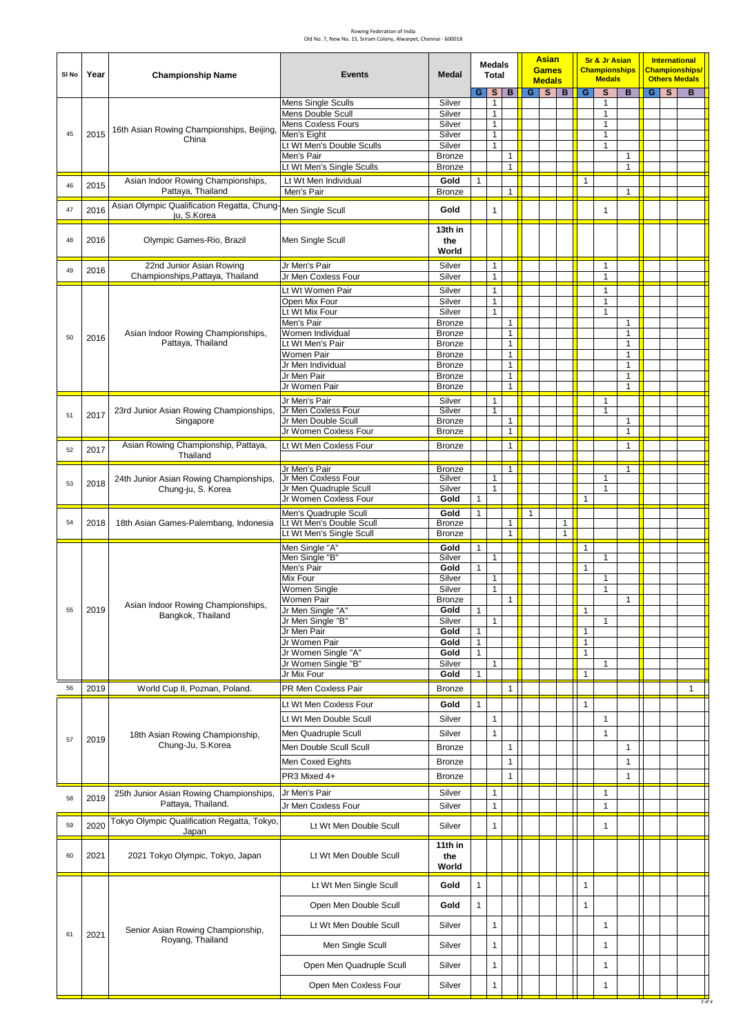| SI No | Year | <b>Championship Name</b>                                | <b>Events</b>                                     | <b>Medal</b>                   |                              | <b>Medals</b><br><b>Total</b> |                   |              | <b>Asian</b><br><b>Games</b><br><b>Medals</b> |              |                              | <b>Sr &amp; Jr Asian</b><br><b>Championships</b><br><b>Medals</b> |                              | <b>International</b><br><b>Championships/</b><br><b>Others Medals</b> |  |        |
|-------|------|---------------------------------------------------------|---------------------------------------------------|--------------------------------|------------------------------|-------------------------------|-------------------|--------------|-----------------------------------------------|--------------|------------------------------|-------------------------------------------------------------------|------------------------------|-----------------------------------------------------------------------|--|--------|
|       |      |                                                         |                                                   |                                | G.                           | S                             | B                 |              | $G$ $S$                                       | B            | G                            | S                                                                 | B                            | GS                                                                    |  | B      |
|       |      |                                                         | <b>Mens Single Sculls</b>                         | Silver                         |                              | $\mathbf{1}$<br>$\mathbf{1}$  |                   |              |                                               |              |                              | 1                                                                 |                              |                                                                       |  |        |
|       |      |                                                         | Mens Double Scull<br>Mens Coxless Fours           | Silver<br>Silver               |                              | $\mathbf{1}$                  |                   |              |                                               |              |                              | $\mathbf{1}$<br>$\mathbf{1}$                                      |                              |                                                                       |  |        |
| 45    | 2015 | 16th Asian Rowing Championships, Beijing,<br>China      | Men's Eight                                       | Silver                         |                              | $\mathbf{1}$                  |                   |              |                                               |              |                              | $\mathbf{1}$                                                      |                              |                                                                       |  |        |
|       |      |                                                         | Lt Wt Men's Double Sculls                         | Silver                         |                              | $\mathbf{1}$                  |                   |              |                                               |              |                              | $\mathbf{1}$                                                      |                              |                                                                       |  |        |
|       |      |                                                         | Men's Pair                                        | <b>Bronze</b>                  |                              |                               | 1<br>$\mathbf{1}$ |              |                                               |              |                              |                                                                   | $\mathbf{1}$<br>$\mathbf{1}$ |                                                                       |  |        |
|       |      |                                                         | Lt Wt Men's Single Sculls                         | <b>Bronze</b>                  |                              |                               |                   |              |                                               |              |                              |                                                                   |                              |                                                                       |  |        |
| 46    | 2015 | Asian Indoor Rowing Championships,<br>Pattaya, Thailand | Lt Wt Men Individual<br>Men's Pair                | Gold<br><b>Bronze</b>          | $\mathbf{1}$                 |                               | 1                 |              |                                               |              | $\mathbf{1}$                 |                                                                   | $\mathbf{1}$                 |                                                                       |  |        |
|       |      | Asian Olympic Qualification Regatta, Chung-             |                                                   |                                |                              |                               |                   |              |                                               |              |                              |                                                                   |                              |                                                                       |  |        |
| 47    | 2016 | ju, S.Korea                                             | Men Single Scull                                  | Gold                           |                              | $\mathbf{1}$                  |                   |              |                                               |              |                              | $\mathbf{1}$                                                      |                              |                                                                       |  |        |
|       |      |                                                         |                                                   | 13th in                        |                              |                               |                   |              |                                               |              |                              |                                                                   |                              |                                                                       |  |        |
| 48    | 2016 | Olympic Games-Rio, Brazil                               | Men Single Scull                                  | the                            |                              |                               |                   |              |                                               |              |                              |                                                                   |                              |                                                                       |  |        |
|       |      |                                                         |                                                   | World                          |                              |                               |                   |              |                                               |              |                              |                                                                   |                              |                                                                       |  |        |
| 49    | 2016 | 22nd Junior Asian Rowing                                | Jr Men's Pair                                     | Silver                         |                              | $\mathbf{1}$                  |                   |              |                                               |              |                              | $\mathbf{1}$                                                      |                              |                                                                       |  |        |
|       |      | Championships, Pattaya, Thailand                        | Jr Men Coxless Four                               | Silver                         |                              | $\mathbf{1}$                  |                   |              |                                               |              |                              | $\mathbf{1}$                                                      |                              |                                                                       |  |        |
|       |      |                                                         | Lt Wt Women Pair                                  | Silver                         |                              | $\mathbf{1}$                  |                   |              |                                               |              |                              | $\mathbf{1}$                                                      |                              |                                                                       |  |        |
|       |      |                                                         | Open Mix Four<br>Lt Wt Mix Four                   | Silver<br>Silver               |                              | $\mathbf{1}$<br>$\mathbf{1}$  |                   |              |                                               |              |                              | $\mathbf{1}$<br>$\mathbf{1}$                                      |                              |                                                                       |  |        |
|       |      |                                                         | Men's Pair                                        | <b>Bronze</b>                  |                              |                               | $\mathbf{1}$      |              |                                               |              |                              |                                                                   | $\mathbf{1}$                 |                                                                       |  |        |
| 50    | 2016 | Asian Indoor Rowing Championships,                      | Women Individual                                  | <b>Bronze</b>                  |                              |                               | $\mathbf{1}$      |              |                                               |              |                              |                                                                   | $\mathbf{1}$                 |                                                                       |  |        |
|       |      | Pattaya, Thailand                                       | Lt Wt Men's Pair                                  | <b>Bronze</b>                  |                              |                               | $\mathbf{1}$      |              |                                               |              |                              |                                                                   | $\mathbf{1}$                 |                                                                       |  |        |
|       |      |                                                         | Women Pair<br>Jr Men Individual                   | <b>Bronze</b><br><b>Bronze</b> |                              |                               | 1<br>1            |              |                                               |              |                              |                                                                   | $\mathbf{1}$<br>$\mathbf{1}$ |                                                                       |  |        |
|       |      |                                                         | Jr Men Pair                                       | <b>Bronze</b>                  |                              |                               | 1                 |              |                                               |              |                              |                                                                   | $\mathbf{1}$                 |                                                                       |  |        |
|       |      |                                                         | Jr Women Pair                                     | <b>Bronze</b>                  |                              |                               | $\mathbf{1}$      |              |                                               |              |                              |                                                                   | $\mathbf{1}$                 |                                                                       |  |        |
|       |      |                                                         | Jr Men's Pair                                     | Silver                         |                              | $\mathbf{1}$                  |                   |              |                                               |              |                              | 1                                                                 |                              |                                                                       |  |        |
| 51    | 2017 | 23rd Junior Asian Rowing Championships,                 | Jr Men Coxless Four                               | Silver                         |                              | $\mathbf{1}$                  |                   |              |                                               |              |                              | $\mathbf{1}$                                                      |                              |                                                                       |  |        |
|       |      | Singapore                                               | Jr Men Double Scull<br>Jr Women Coxless Four      | <b>Bronze</b><br><b>Bronze</b> |                              |                               | 1<br>1            |              |                                               |              |                              |                                                                   | $\mathbf{1}$<br>$\mathbf{1}$ |                                                                       |  |        |
|       |      |                                                         |                                                   |                                |                              |                               | $\mathbf{1}$      |              |                                               |              |                              |                                                                   |                              |                                                                       |  |        |
| 52    | 2017 | Asian Rowing Championship, Pattaya,<br>Thailand         | Lt Wt Men Coxless Four                            | <b>Bronze</b>                  |                              |                               |                   |              |                                               |              |                              |                                                                   | $\mathbf{1}$                 |                                                                       |  |        |
|       |      |                                                         | Jr Men's Pair                                     | <b>Bronze</b>                  |                              |                               | $\mathbf{1}$      |              |                                               |              |                              |                                                                   | $\mathbf{1}$                 |                                                                       |  |        |
| 53    | 2018 | 24th Junior Asian Rowing Championships,                 | Jr Men Coxless Four                               | Silver                         |                              | $\mathbf{1}$                  |                   |              |                                               |              |                              | $\mathbf{1}$                                                      |                              |                                                                       |  |        |
|       |      | Chung-ju, S. Korea                                      | Jr Men Quadruple Scull                            | Silver                         |                              | $\mathbf{1}$                  |                   |              |                                               |              |                              | $\mathbf{1}$                                                      |                              |                                                                       |  |        |
|       |      |                                                         | Jr Women Coxless Four                             | Gold                           | $\mathbf{1}$                 |                               |                   |              |                                               |              | 1                            |                                                                   |                              |                                                                       |  |        |
| 54    | 2018 | 18th Asian Games-Palembang, Indonesia                   | Men's Quadruple Scull<br>Lt Wt Men's Double Scull | Gold<br><b>Bronze</b>          | $\mathbf{1}$                 |                               | 1                 | $\mathbf{1}$ |                                               | 1            |                              |                                                                   |                              |                                                                       |  |        |
|       |      |                                                         | Lt Wt Men's Single Scull                          | <b>Bronze</b>                  |                              |                               | 1                 |              |                                               | $\mathbf{1}$ |                              |                                                                   |                              |                                                                       |  |        |
|       |      |                                                         | Men Single "A"                                    | Gold                           | $\mathbf{1}$                 |                               |                   |              |                                               |              | $\mathbf{1}$                 |                                                                   |                              |                                                                       |  |        |
|       |      |                                                         | Men Single "B"                                    | Silver                         |                              | 1                             |                   |              |                                               |              |                              | $\mathbf{1}$                                                      |                              |                                                                       |  |        |
|       |      |                                                         | Men's Pair                                        | Gold                           | $\mathbf{1}$                 |                               |                   |              |                                               |              | $\mathbf{1}$                 |                                                                   |                              |                                                                       |  |        |
|       |      |                                                         | Mix Four<br>Women Single                          | Silver<br>Silver               |                              | $\mathbf{1}$<br>$\mathbf{1}$  |                   |              |                                               |              |                              | $\mathbf{1}$<br>$\mathbf{1}$                                      |                              |                                                                       |  |        |
|       |      |                                                         | Women Pair                                        | <b>Bronze</b>                  |                              |                               | $\mathbf{1}$      |              |                                               |              |                              |                                                                   | $\mathbf{1}$                 |                                                                       |  |        |
| 55    | 2019 | Asian Indoor Rowing Championships,<br>Bangkok, Thailand | Jr Men Single "A"                                 | Gold                           | $\mathbf{1}$                 |                               |                   |              |                                               |              | $\mathbf{1}$                 |                                                                   |                              |                                                                       |  |        |
|       |      |                                                         | Jr Men Single "B"                                 | Silver                         |                              | $\mathbf{1}$                  |                   |              |                                               |              |                              | $\mathbf{1}$                                                      |                              |                                                                       |  |        |
|       |      |                                                         | Jr Men Pair<br>Jr Women Pair                      | Gold<br>Gold                   | $\mathbf{1}$<br>$\mathbf{1}$ |                               |                   |              |                                               |              | $\mathbf{1}$<br>$\mathbf{1}$ |                                                                   |                              |                                                                       |  |        |
|       |      |                                                         | Jr Women Single "A"                               | Gold                           | $\mathbf{1}$                 |                               |                   |              |                                               |              | $\mathbf{1}$                 |                                                                   |                              |                                                                       |  |        |
|       |      |                                                         | Jr Women Single "B"                               | Silver                         |                              | $\mathbf{1}$                  |                   |              |                                               |              |                              | $\mathbf{1}$                                                      |                              |                                                                       |  |        |
|       |      |                                                         | Jr Mix Four                                       | Gold                           | $\mathbf{1}$                 |                               |                   |              |                                               |              | $\mathbf{1}$                 |                                                                   |                              |                                                                       |  |        |
| 56    | 2019 | World Cup II, Poznan, Poland.                           | PR Men Coxless Pair                               | <b>Bronze</b>                  |                              |                               | 1                 |              |                                               |              |                              |                                                                   |                              |                                                                       |  | 1      |
|       |      |                                                         | Lt Wt Men Coxless Four                            | Gold                           | $\mathbf{1}$                 |                               |                   |              |                                               |              | $\mathbf{1}$                 |                                                                   |                              |                                                                       |  |        |
|       |      |                                                         | Lt Wt Men Double Scull                            | Silver                         |                              | $\mathbf{1}$                  |                   |              |                                               |              |                              | $\mathbf{1}$                                                      |                              |                                                                       |  |        |
|       |      | 18th Asian Rowing Championship,                         | Men Quadruple Scull                               | Silver                         |                              | $\mathbf{1}$                  |                   |              |                                               |              |                              | $\mathbf{1}$                                                      |                              |                                                                       |  |        |
| 57    | 2019 | Chung-Ju, S.Korea                                       | Men Double Scull Scull                            | <b>Bronze</b>                  |                              |                               | 1                 |              |                                               |              |                              |                                                                   | $\mathbf{1}$                 |                                                                       |  |        |
|       |      |                                                         | Men Coxed Eights                                  | <b>Bronze</b>                  |                              |                               | 1                 |              |                                               |              |                              |                                                                   | $\mathbf{1}$                 |                                                                       |  |        |
|       |      |                                                         |                                                   |                                |                              |                               |                   |              |                                               |              |                              |                                                                   |                              |                                                                       |  |        |
|       |      |                                                         | PR3 Mixed 4+                                      | <b>Bronze</b>                  |                              |                               | 1                 |              |                                               |              |                              |                                                                   | $\mathbf{1}$                 |                                                                       |  |        |
| 58    | 2019 | 25th Junior Asian Rowing Championships,                 | Jr Men's Pair                                     | Silver                         |                              | $\mathbf{1}$                  |                   |              |                                               |              |                              | $\mathbf{1}$                                                      |                              |                                                                       |  |        |
|       |      | Pattaya, Thailand.                                      | Jr Men Coxless Four                               | Silver                         |                              | $\mathbf{1}$                  |                   |              |                                               |              |                              | $\mathbf{1}$                                                      |                              |                                                                       |  |        |
| 59    | 2020 | Tokyo Olympic Qualification Regatta, Tokyo,             | Lt Wt Men Double Scull                            | Silver                         |                              | $\mathbf{1}$                  |                   |              |                                               |              |                              | $\mathbf{1}$                                                      |                              |                                                                       |  |        |
|       |      | Japan                                                   |                                                   |                                |                              |                               |                   |              |                                               |              |                              |                                                                   |                              |                                                                       |  |        |
|       |      |                                                         |                                                   | 11th in                        |                              |                               |                   |              |                                               |              |                              |                                                                   |                              |                                                                       |  |        |
| 60    | 2021 | 2021 Tokyo Olympic, Tokyo, Japan                        | Lt Wt Men Double Scull                            | the<br>World                   |                              |                               |                   |              |                                               |              |                              |                                                                   |                              |                                                                       |  |        |
|       |      |                                                         |                                                   |                                |                              |                               |                   |              |                                               |              |                              |                                                                   |                              |                                                                       |  |        |
|       |      |                                                         | Lt Wt Men Single Scull                            | Gold                           | $\mathbf{1}$                 |                               |                   |              |                                               |              | $\mathbf{1}$                 |                                                                   |                              |                                                                       |  |        |
|       |      |                                                         | Open Men Double Scull                             | Gold                           | $\mathbf{1}$                 |                               |                   |              |                                               |              | $\mathbf{1}$                 |                                                                   |                              |                                                                       |  |        |
|       |      |                                                         |                                                   |                                |                              |                               |                   |              |                                               |              |                              |                                                                   |                              |                                                                       |  |        |
|       |      | Senior Asian Rowing Championship,                       | Lt Wt Men Double Scull                            | Silver                         |                              | $\mathbf{1}$                  |                   |              |                                               |              |                              | 1                                                                 |                              |                                                                       |  |        |
| 61    | 2021 | Royang, Thailand                                        | Men Single Scull                                  | Silver                         |                              | $\mathbf{1}$                  |                   |              |                                               |              |                              | $\mathbf{1}$                                                      |                              |                                                                       |  |        |
|       |      |                                                         |                                                   |                                |                              |                               |                   |              |                                               |              |                              |                                                                   |                              |                                                                       |  |        |
|       |      |                                                         | Open Men Quadruple Scull                          | Silver                         |                              | $\mathbf{1}$                  |                   |              |                                               |              |                              | $\mathbf{1}$                                                      |                              |                                                                       |  |        |
|       |      |                                                         | Open Men Coxless Four                             | Silver                         |                              | $\mathbf{1}$                  |                   |              |                                               |              |                              | $\mathbf{1}$                                                      |                              |                                                                       |  |        |
|       |      |                                                         |                                                   |                                |                              |                               |                   |              |                                               |              |                              |                                                                   |                              |                                                                       |  | 3 of 4 |